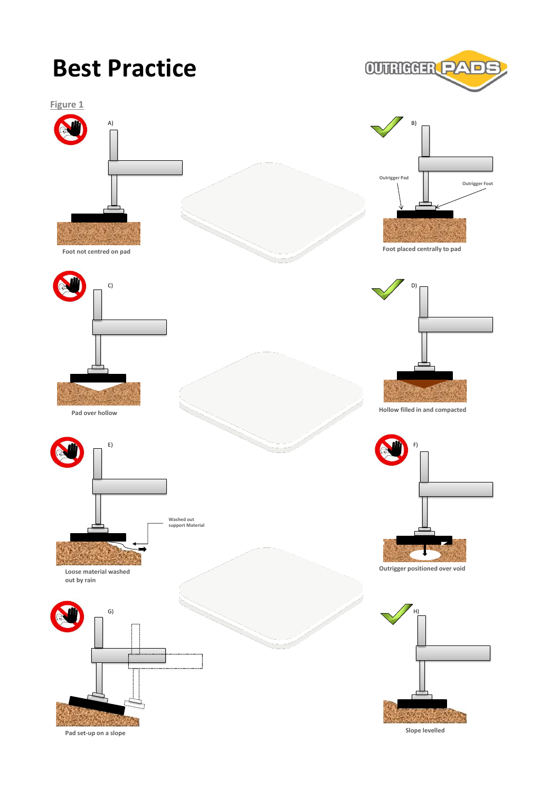